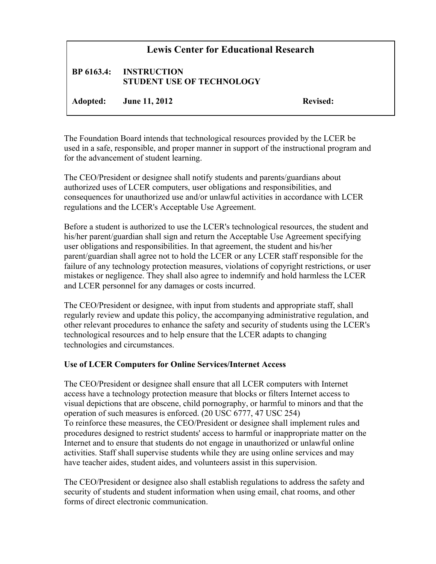## **Lewis Center for Educational Research**

## **BP 6163.4: INSTRUCTION STUDENT USE OF TECHNOLOGY**

**Adopted: June 11, 2012 Revised:**

The Foundation Board intends that technological resources provided by the LCER be used in a safe, responsible, and proper manner in support of the instructional program and for the advancement of student learning.

The CEO/President or designee shall notify students and parents/guardians about authorized uses of LCER computers, user obligations and responsibilities, and consequences for unauthorized use and/or unlawful activities in accordance with LCER regulations and the LCER's Acceptable Use Agreement.

Before a student is authorized to use the LCER's technological resources, the student and his/her parent/guardian shall sign and return the Acceptable Use Agreement specifying user obligations and responsibilities. In that agreement, the student and his/her parent/guardian shall agree not to hold the LCER or any LCER staff responsible for the failure of any technology protection measures, violations of copyright restrictions, or user mistakes or negligence. They shall also agree to indemnify and hold harmless the LCER and LCER personnel for any damages or costs incurred.

The CEO/President or designee, with input from students and appropriate staff, shall regularly review and update this policy, the accompanying administrative regulation, and other relevant procedures to enhance the safety and security of students using the LCER's technological resources and to help ensure that the LCER adapts to changing technologies and circumstances.

## **Use of LCER Computers for Online Services/Internet Access**

The CEO/President or designee shall ensure that all LCER computers with Internet access have a technology protection measure that blocks or filters Internet access to visual depictions that are obscene, child pornography, or harmful to minors and that the operation of such measures is enforced. (20 USC 6777, 47 USC 254) To reinforce these measures, the CEO/President or designee shall implement rules and procedures designed to restrict students' access to harmful or inappropriate matter on the Internet and to ensure that students do not engage in unauthorized or unlawful online activities. Staff shall supervise students while they are using online services and may have teacher aides, student aides, and volunteers assist in this supervision.

The CEO/President or designee also shall establish regulations to address the safety and security of students and student information when using email, chat rooms, and other forms of direct electronic communication.